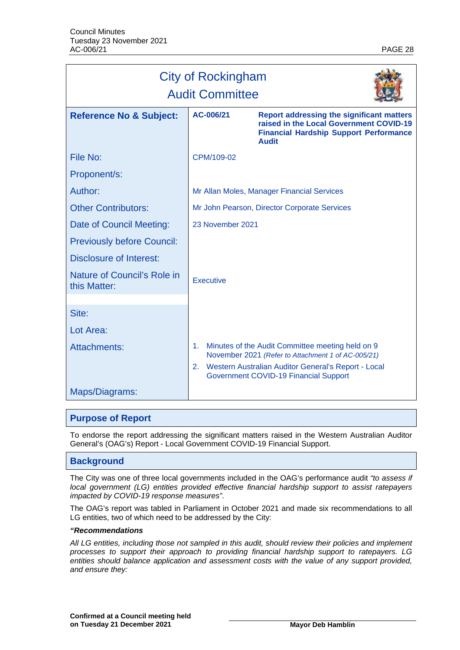| <b>City of Rockingham</b><br><b>Audit Committee</b> |                                            |                                                                                                                                                               |  |
|-----------------------------------------------------|--------------------------------------------|---------------------------------------------------------------------------------------------------------------------------------------------------------------|--|
| <b>Reference No &amp; Subject:</b>                  | AC-006/21                                  | <b>Report addressing the significant matters</b><br>raised in the Local Government COVID-19<br><b>Financial Hardship Support Performance</b><br><b>Audit</b>  |  |
| File No:                                            | CPM/109-02                                 |                                                                                                                                                               |  |
| Proponent/s:                                        |                                            |                                                                                                                                                               |  |
| Author:                                             | Mr Allan Moles, Manager Financial Services |                                                                                                                                                               |  |
| <b>Other Contributors:</b>                          |                                            | Mr John Pearson, Director Corporate Services                                                                                                                  |  |
| Date of Council Meeting:                            | 23 November 2021                           |                                                                                                                                                               |  |
| <b>Previously before Council:</b>                   |                                            |                                                                                                                                                               |  |
| <b>Disclosure of Interest:</b>                      |                                            |                                                                                                                                                               |  |
| Nature of Council's Role in<br>this Matter:         | <b>Executive</b>                           |                                                                                                                                                               |  |
| Site:                                               |                                            |                                                                                                                                                               |  |
| Lot Area:                                           |                                            |                                                                                                                                                               |  |
| Attachments:                                        | 1.<br>2.                                   | Minutes of the Audit Committee meeting held on 9<br>November 2021 (Refer to Attachment 1 of AC-005/21)<br>Western Australian Auditor General's Report - Local |  |
| Maps/Diagrams:                                      |                                            | Government COVID-19 Financial Support                                                                                                                         |  |

# **Purpose of Report**

To endorse the report addressing the significant matters raised in the Western Australian Auditor General's (OAG's) Report - Local Government COVID-19 Financial Support.

## **Background**

The City was one of three local governments included in the OAG's performance audit *"to assess if local government (LG) entities provided effective financial hardship support to assist ratepayers impacted by COVID-19 response measures"*.

The OAG's report was tabled in Parliament in October 2021 and made six recommendations to all LG entities, two of which need to be addressed by the City:

#### *"Recommendations*

*All LG entities, including those not sampled in this audit, should review their policies and implement processes to support their approach to providing financial hardship support to ratepayers. LG*  entities should balance application and assessment costs with the value of any support provided, *and ensure they:*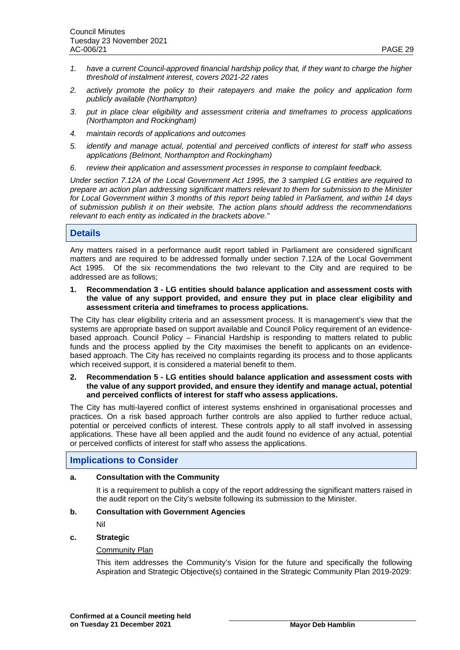- *1. have a current Council-approved financial hardship policy that, if they want to charge the higher threshold of instalment interest, covers 2021-22 rates*
- *2. actively promote the policy to their ratepayers and make the policy and application form publicly available (Northampton)*
- *3. put in place clear eligibility and assessment criteria and timeframes to process applications (Northampton and Rockingham)*
- *4. maintain records of applications and outcomes*
- *5. identify and manage actual, potential and perceived conflicts of interest for staff who assess applications (Belmont, Northampton and Rockingham)*
- *6. review their application and assessment processes in response to complaint feedback.*

*Under section 7.12A of the Local Government Act 1995, the 3 sampled LG entities are required to prepare an action plan addressing significant matters relevant to them for submission to the Minister for Local Government within 3 months of this report being tabled in Parliament, and within 14 days of submission publish it on their website. The action plans should address the recommendations relevant to each entity as indicated in the brackets above."*

# **Details**

Any matters raised in a performance audit report tabled in Parliament are considered significant matters and are required to be addressed formally under section 7.12A of the Local Government Act 1995. Of the six recommendations the two relevant to the City and are required to be addressed are as follows;

**1. Recommendation 3 - LG entities should balance application and assessment costs with the value of any support provided, and ensure they put in place clear eligibility and assessment criteria and timeframes to process applications.**

The City has clear eligibility criteria and an assessment process. It is management's view that the systems are appropriate based on support available and Council Policy requirement of an evidencebased approach. Council Policy – Financial Hardship is responding to matters related to public funds and the process applied by the City maximises the benefit to applicants on an evidencebased approach. The City has received no complaints regarding its process and to those applicants which received support, it is considered a material benefit to them.

### **2. Recommendation 5 - LG entities should balance application and assessment costs with the value of any support provided, and ensure they identify and manage actual, potential and perceived conflicts of interest for staff who assess applications.**

The City has multi-layered conflict of interest systems enshrined in organisational processes and practices. On a risk based approach further controls are also applied to further reduce actual, potential or perceived conflicts of interest. These controls apply to all staff involved in assessing applications. These have all been applied and the audit found no evidence of any actual, potential or perceived conflicts of interest for staff who assess the applications.

## **Implications to Consider**

# **a. Consultation with the Community**

It is a requirement to publish a copy of the report addressing the significant matters raised in the audit report on the City's website following its submission to the Minister.

## **b. Consultation with Government Agencies**

Nil

# **c. Strategic**

### Community Plan

This item addresses the Community's Vision for the future and specifically the following Aspiration and Strategic Objective(s) contained in the Strategic Community Plan 2019-2029: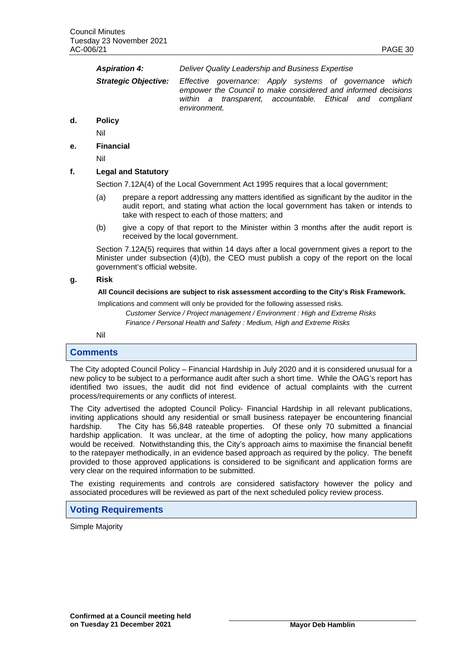| <b>Aspiration 4:</b> | Deliver Quality Leadership and Business Expertise                                                                                                                                                                                |
|----------------------|----------------------------------------------------------------------------------------------------------------------------------------------------------------------------------------------------------------------------------|
|                      | <b>Strategic Objective:</b> Effective governance: Apply systems of governance which<br>empower the Council to make considered and informed decisions<br>within a transparent, accountable. Ethical and compliant<br>environment. |
| D <sub>0</sub>       |                                                                                                                                                                                                                                  |

# **d. Policy**

Nil

## **e. Financial**

Nil

## **f. Legal and Statutory**

Section 7.12A(4) of the Local Government Act 1995 requires that a local government;

- (a) prepare a report addressing any matters identified as significant by the auditor in the audit report, and stating what action the local government has taken or intends to take with respect to each of those matters; and
- (b) give a copy of that report to the Minister within 3 months after the audit report is received by the local government.

Section 7.12A(5) requires that within 14 days after a local government gives a report to the Minister under subsection (4)(b), the CEO must publish a copy of the report on the local government's official website.

## **g. Risk**

### **All Council decisions are subject to risk assessment according to the City's Risk Framework.**

Implications and comment will only be provided for the following assessed risks.

*Customer Service / Project management / Environment : High and Extreme Risks Finance / Personal Health and Safety : Medium, High and Extreme Risks*

Nil

## **Comments**

The City adopted Council Policy – Financial Hardship in July 2020 and it is considered unusual for a new policy to be subject to a performance audit after such a short time. While the OAG's report has identified two issues, the audit did not find evidence of actual complaints with the current process/requirements or any conflicts of interest.

The City advertised the adopted Council Policy- Financial Hardship in all relevant publications, inviting applications should any residential or small business ratepayer be encountering financial hardship. The City has 56,848 rateable properties. Of these only 70 submitted a financial hardship application. It was unclear, at the time of adopting the policy, how many applications would be received. Notwithstanding this, the City's approach aims to maximise the financial benefit to the ratepayer methodically, in an evidence based approach as required by the policy. The benefit provided to those approved applications is considered to be significant and application forms are very clear on the required information to be submitted.

The existing requirements and controls are considered satisfactory however the policy and associated procedures will be reviewed as part of the next scheduled policy review process.

# **Voting Requirements**

Simple Majority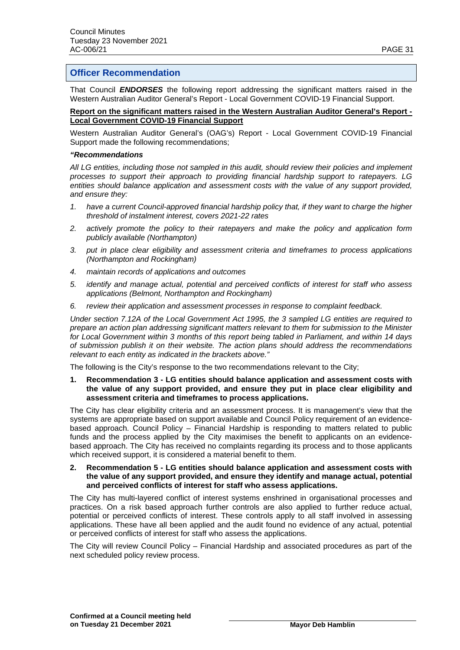# **Officer Recommendation**

That Council *ENDORSES* the following report addressing the significant matters raised in the Western Australian Auditor General's Report - Local Government COVID-19 Financial Support.

#### **Report on the significant matters raised in the Western Australian Auditor General's Report - Local Government COVID-19 Financial Support**

Western Australian Auditor General's (OAG's) Report - Local Government COVID-19 Financial Support made the following recommendations;

#### *"Recommendations*

*All LG entities, including those not sampled in this audit, should review their policies and implement processes to support their approach to providing financial hardship support to ratepayers. LG entities should balance application and assessment costs with the value of any support provided, and ensure they:*

- *1. have a current Council-approved financial hardship policy that, if they want to charge the higher threshold of instalment interest, covers 2021-22 rates*
- *2. actively promote the policy to their ratepayers and make the policy and application form publicly available (Northampton)*
- *3. put in place clear eligibility and assessment criteria and timeframes to process applications (Northampton and Rockingham)*
- *4. maintain records of applications and outcomes*
- *5. identify and manage actual, potential and perceived conflicts of interest for staff who assess applications (Belmont, Northampton and Rockingham)*
- *6. review their application and assessment processes in response to complaint feedback.*

*Under section 7.12A of the Local Government Act 1995, the 3 sampled LG entities are required to prepare an action plan addressing significant matters relevant to them for submission to the Minister for Local Government within 3 months of this report being tabled in Parliament, and within 14 days of submission publish it on their website. The action plans should address the recommendations relevant to each entity as indicated in the brackets above."*

The following is the City's response to the two recommendations relevant to the City;

**1. Recommendation 3 - LG entities should balance application and assessment costs with the value of any support provided, and ensure they put in place clear eligibility and assessment criteria and timeframes to process applications.**

The City has clear eligibility criteria and an assessment process. It is management's view that the systems are appropriate based on support available and Council Policy requirement of an evidencebased approach. Council Policy – Financial Hardship is responding to matters related to public funds and the process applied by the City maximises the benefit to applicants on an evidencebased approach. The City has received no complaints regarding its process and to those applicants which received support, it is considered a material benefit to them.

### **2. Recommendation 5 - LG entities should balance application and assessment costs with the value of any support provided, and ensure they identify and manage actual, potential and perceived conflicts of interest for staff who assess applications.**

The City has multi-layered conflict of interest systems enshrined in organisational processes and practices. On a risk based approach further controls are also applied to further reduce actual, potential or perceived conflicts of interest. These controls apply to all staff involved in assessing applications. These have all been applied and the audit found no evidence of any actual, potential or perceived conflicts of interest for staff who assess the applications.

The City will review Council Policy – Financial Hardship and associated procedures as part of the next scheduled policy review process.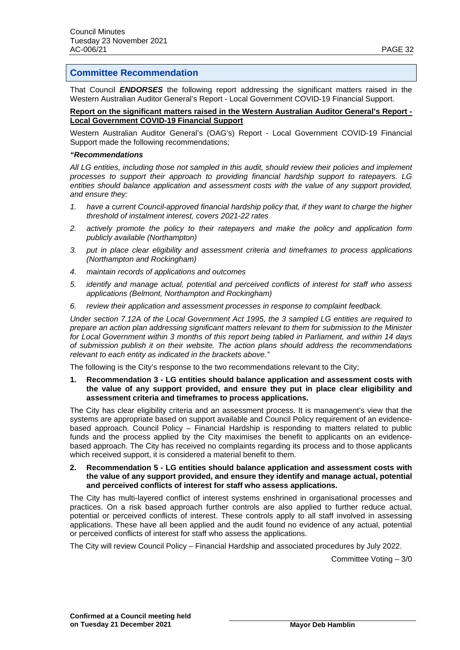# **Committee Recommendation**

That Council *ENDORSES* the following report addressing the significant matters raised in the Western Australian Auditor General's Report - Local Government COVID-19 Financial Support.

## **Report on the significant matters raised in the Western Australian Auditor General's Report - Local Government COVID-19 Financial Support**

Western Australian Auditor General's (OAG's) Report - Local Government COVID-19 Financial Support made the following recommendations;

#### *"Recommendations*

*All LG entities, including those not sampled in this audit, should review their policies and implement processes to support their approach to providing financial hardship support to ratepayers. LG entities should balance application and assessment costs with the value of any support provided, and ensure they:*

- *1. have a current Council-approved financial hardship policy that, if they want to charge the higher threshold of instalment interest, covers 2021-22 rates*
- *2. actively promote the policy to their ratepayers and make the policy and application form publicly available (Northampton)*
- *3. put in place clear eligibility and assessment criteria and timeframes to process applications (Northampton and Rockingham)*
- *4. maintain records of applications and outcomes*
- *5. identify and manage actual, potential and perceived conflicts of interest for staff who assess applications (Belmont, Northampton and Rockingham)*
- *6. review their application and assessment processes in response to complaint feedback.*

*Under section 7.12A of the Local Government Act 1995, the 3 sampled LG entities are required to prepare an action plan addressing significant matters relevant to them for submission to the Minister for Local Government within 3 months of this report being tabled in Parliament, and within 14 days of submission publish it on their website. The action plans should address the recommendations relevant to each entity as indicated in the brackets above."*

The following is the City's response to the two recommendations relevant to the City;

**1. Recommendation 3 - LG entities should balance application and assessment costs with the value of any support provided, and ensure they put in place clear eligibility and assessment criteria and timeframes to process applications.**

The City has clear eligibility criteria and an assessment process. It is management's view that the systems are appropriate based on support available and Council Policy requirement of an evidencebased approach. Council Policy – Financial Hardship is responding to matters related to public funds and the process applied by the City maximises the benefit to applicants on an evidencebased approach. The City has received no complaints regarding its process and to those applicants which received support, it is considered a material benefit to them.

**2. Recommendation 5 - LG entities should balance application and assessment costs with the value of any support provided, and ensure they identify and manage actual, potential and perceived conflicts of interest for staff who assess applications.**

The City has multi-layered conflict of interest systems enshrined in organisational processes and practices. On a risk based approach further controls are also applied to further reduce actual, potential or perceived conflicts of interest. These controls apply to all staff involved in assessing applications. These have all been applied and the audit found no evidence of any actual, potential or perceived conflicts of interest for staff who assess the applications.

The City will review Council Policy – Financial Hardship and associated procedures by July 2022.

Committee Voting – 3/0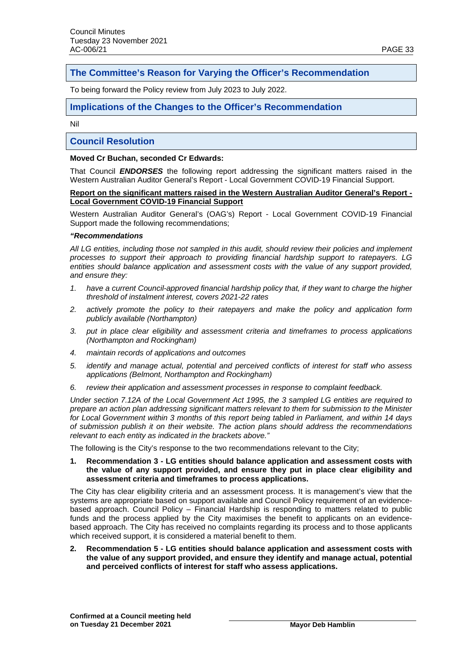# **The Committee's Reason for Varying the Officer's Recommendation**

To being forward the Policy review from July 2023 to July 2022.

# **Implications of the Changes to the Officer's Recommendation**

Nil

# **Council Resolution**

## **Moved Cr Buchan, seconded Cr Edwards:**

That Council *ENDORSES* the following report addressing the significant matters raised in the Western Australian Auditor General's Report - Local Government COVID-19 Financial Support.

### **Report on the significant matters raised in the Western Australian Auditor General's Report - Local Government COVID-19 Financial Support**

Western Australian Auditor General's (OAG's) Report - Local Government COVID-19 Financial Support made the following recommendations;

### *"Recommendations*

*All LG entities, including those not sampled in this audit, should review their policies and implement processes to support their approach to providing financial hardship support to ratepayers. LG entities should balance application and assessment costs with the value of any support provided, and ensure they:*

- *1. have a current Council-approved financial hardship policy that, if they want to charge the higher threshold of instalment interest, covers 2021-22 rates*
- *2. actively promote the policy to their ratepayers and make the policy and application form publicly available (Northampton)*
- *3. put in place clear eligibility and assessment criteria and timeframes to process applications (Northampton and Rockingham)*
- *4. maintain records of applications and outcomes*
- *5. identify and manage actual, potential and perceived conflicts of interest for staff who assess applications (Belmont, Northampton and Rockingham)*
- *6. review their application and assessment processes in response to complaint feedback.*

*Under section 7.12A of the Local Government Act 1995, the 3 sampled LG entities are required to prepare an action plan addressing significant matters relevant to them for submission to the Minister for Local Government within 3 months of this report being tabled in Parliament, and within 14 days of submission publish it on their website. The action plans should address the recommendations relevant to each entity as indicated in the brackets above."*

The following is the City's response to the two recommendations relevant to the City;

**1. Recommendation 3 - LG entities should balance application and assessment costs with the value of any support provided, and ensure they put in place clear eligibility and assessment criteria and timeframes to process applications.**

The City has clear eligibility criteria and an assessment process. It is management's view that the systems are appropriate based on support available and Council Policy requirement of an evidencebased approach. Council Policy – Financial Hardship is responding to matters related to public funds and the process applied by the City maximises the benefit to applicants on an evidencebased approach. The City has received no complaints regarding its process and to those applicants which received support, it is considered a material benefit to them.

**2. Recommendation 5 - LG entities should balance application and assessment costs with the value of any support provided, and ensure they identify and manage actual, potential and perceived conflicts of interest for staff who assess applications.**